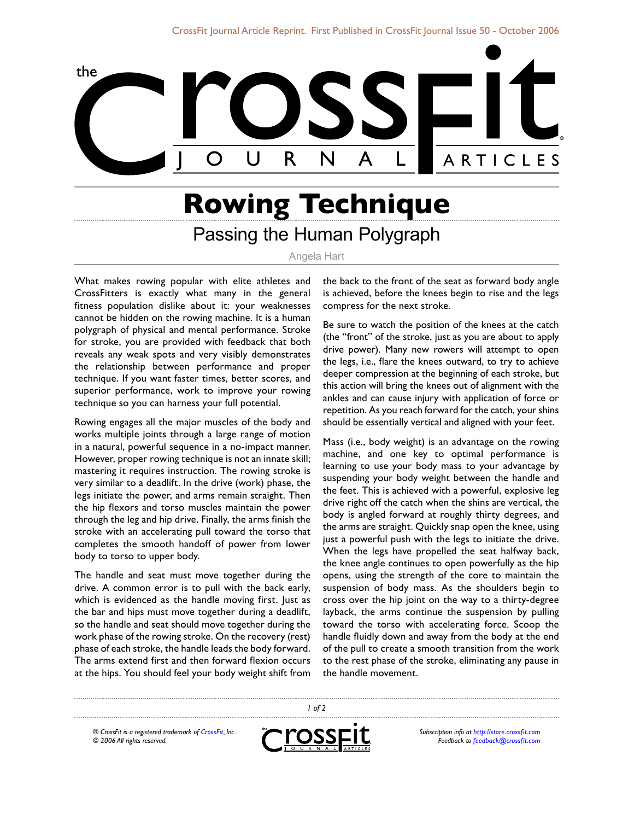

## **Rowing Technique** Passing the Human Polygraph

## Angela Hart

What makes rowing popular with elite athletes and CrossFitters is exactly what many in the general fitness population dislike about it: your weaknesses cannot be hidden on the rowing machine. It is a human polygraph of physical and mental performance. Stroke for stroke, you are provided with feedback that both reveals any weak spots and very visibly demonstrates the relationship between performance and proper technique. If you want faster times, better scores, and superior performance, work to improve your rowing technique so you can harness your full potential.

Rowing engages all the major muscles of the body and works multiple joints through a large range of motion in a natural, powerful sequence in a no-impact manner. However, proper rowing technique is not an innate skill; mastering it requires instruction. The rowing stroke is very similar to a deadlift. In the drive (work) phase, the legs initiate the power, and arms remain straight. Then the hip flexors and torso muscles maintain the power through the leg and hip drive. Finally, the arms finish the stroke with an accelerating pull toward the torso that completes the smooth handoff of power from lower body to torso to upper body.

The handle and seat must move together during the drive. A common error is to pull with the back early, which is evidenced as the handle moving first. Just as the bar and hips must move together during a deadlift, so the handle and seat should move together during the work phase of the rowing stroke. On the recovery (rest) phase of each stroke, the handle leads the body forward. The arms extend first and then forward flexion occurs at the hips. You should feel your body weight shift from

the back to the front of the seat as forward body angle is achieved, before the knees begin to rise and the legs compress for the next stroke.

Be sure to watch the position of the knees at the catch (the "front" of the stroke, just as you are about to apply drive power). Many new rowers will attempt to open the legs, i.e., flare the knees outward, to try to achieve deeper compression at the beginning of each stroke, but this action will bring the knees out of alignment with the ankles and can cause injury with application of force or repetition. As you reach forward for the catch, your shins should be essentially vertical and aligned with your feet.

Mass (i.e., body weight) is an advantage on the rowing machine, and one key to optimal performance is learning to use your body mass to your advantage by suspending your body weight between the handle and the feet. This is achieved with a powerful, explosive leg drive right off the catch when the shins are vertical, the body is angled forward at roughly thirty degrees, and the arms are straight. Quickly snap open the knee, using just a powerful push with the legs to initiate the drive. When the legs have propelled the seat halfway back, the knee angle continues to open powerfully as the hip opens, using the strength of the core to maintain the suspension of body mass. As the shoulders begin to cross over the hip joint on the way to a thirty-degree layback, the arms continue the suspension by pulling toward the torso with accelerating force. Scoop the handle fluidly down and away from the body at the end of the pull to create a smooth transition from the work to the rest phase of the stroke, eliminating any pause in the handle movement.

*® CrossFit is a registered trademark of [CrossFit,](http://www.crossfit.com) Inc. © 2006 All rights reserved.*



 *of 2*

*Subscription info at [http://store.crossfit.com](http://journal.crossfit.com) Feedback to [feedback@crossfit.com](mailto:feedback@crossfit.com)*